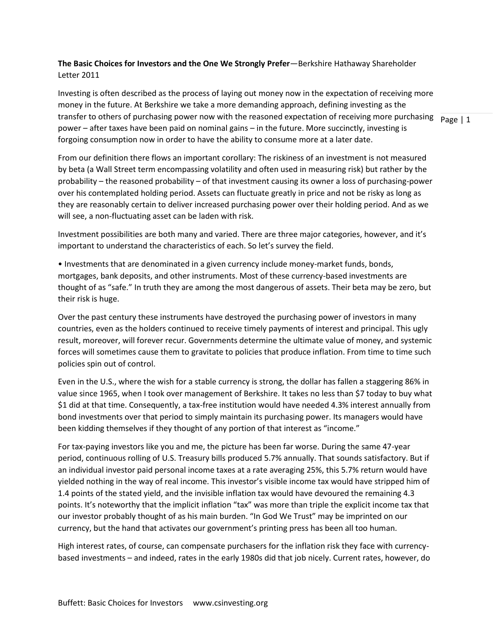## **The Basic Choices for Investors and the One We Strongly Prefer**—Berkshire Hathaway Shareholder Letter 2011

transfer to others of purchasing power now with the reasoned expectation of receiving more purchasing  $\frac{}{\text{Page }|1}$ Investing is often described as the process of laying out money now in the expectation of receiving more money in the future. At Berkshire we take a more demanding approach, defining investing as the power – after taxes have been paid on nominal gains – in the future. More succinctly, investing is forgoing consumption now in order to have the ability to consume more at a later date.

From our definition there flows an important corollary: The riskiness of an investment is not measured by beta (a Wall Street term encompassing volatility and often used in measuring risk) but rather by the probability – the reasoned probability – of that investment causing its owner a loss of purchasing-power over his contemplated holding period. Assets can fluctuate greatly in price and not be risky as long as they are reasonably certain to deliver increased purchasing power over their holding period. And as we will see, a non-fluctuating asset can be laden with risk.

Investment possibilities are both many and varied. There are three major categories, however, and it's important to understand the characteristics of each. So let's survey the field.

• Investments that are denominated in a given currency include money-market funds, bonds, mortgages, bank deposits, and other instruments. Most of these currency-based investments are thought of as "safe." In truth they are among the most dangerous of assets. Their beta may be zero, but their risk is huge.

Over the past century these instruments have destroyed the purchasing power of investors in many countries, even as the holders continued to receive timely payments of interest and principal. This ugly result, moreover, will forever recur. Governments determine the ultimate value of money, and systemic forces will sometimes cause them to gravitate to policies that produce inflation. From time to time such policies spin out of control.

Even in the U.S., where the wish for a stable currency is strong, the dollar has fallen a staggering 86% in value since 1965, when I took over management of Berkshire. It takes no less than \$7 today to buy what \$1 did at that time. Consequently, a tax-free institution would have needed 4.3% interest annually from bond investments over that period to simply maintain its purchasing power. Its managers would have been kidding themselves if they thought of any portion of that interest as "income."

For tax-paying investors like you and me, the picture has been far worse. During the same 47-year period, continuous rolling of U.S. Treasury bills produced 5.7% annually. That sounds satisfactory. But if an individual investor paid personal income taxes at a rate averaging 25%, this 5.7% return would have yielded nothing in the way of real income. This investor's visible income tax would have stripped him of 1.4 points of the stated yield, and the invisible inflation tax would have devoured the remaining 4.3 points. It's noteworthy that the implicit inflation "tax" was more than triple the explicit income tax that our investor probably thought of as his main burden. "In God We Trust" may be imprinted on our currency, but the hand that activates our government's printing press has been all too human.

High interest rates, of course, can compensate purchasers for the inflation risk they face with currencybased investments – and indeed, rates in the early 1980s did that job nicely. Current rates, however, do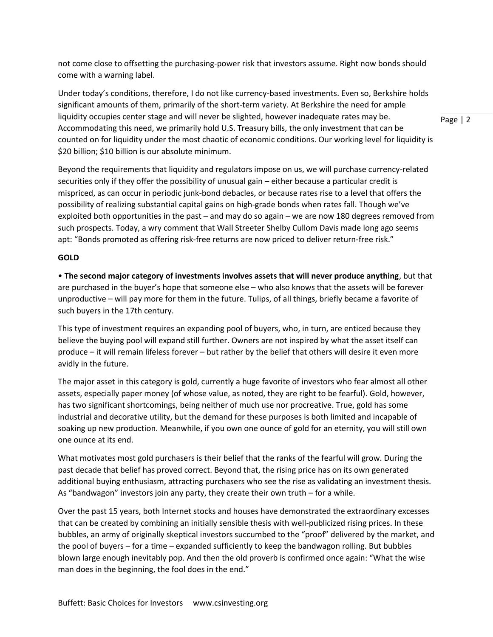not come close to offsetting the purchasing-power risk that investors assume. Right now bonds should come with a warning label.

Under today's conditions, therefore, I do not like currency-based investments. Even so, Berkshire holds significant amounts of them, primarily of the short-term variety. At Berkshire the need for ample liquidity occupies center stage and will never be slighted, however inadequate rates may be. Accommodating this need, we primarily hold U.S. Treasury bills, the only investment that can be counted on for liquidity under the most chaotic of economic conditions. Our working level for liquidity is \$20 billion; \$10 billion is our absolute minimum.

Beyond the requirements that liquidity and regulators impose on us, we will purchase currency-related securities only if they offer the possibility of unusual gain – either because a particular credit is mispriced, as can occur in periodic junk-bond debacles, or because rates rise to a level that offers the possibility of realizing substantial capital gains on high-grade bonds when rates fall. Though we've exploited both opportunities in the past – and may do so again – we are now 180 degrees removed from such prospects. Today, a wry comment that Wall Streeter Shelby Cullom Davis made long ago seems apt: "Bonds promoted as offering risk-free returns are now priced to deliver return-free risk."

## **GOLD**

• **The second major category of investments involves assets that will never produce anything**, but that are purchased in the buyer's hope that someone else – who also knows that the assets will be forever unproductive – will pay more for them in the future. Tulips, of all things, briefly became a favorite of such buyers in the 17th century.

This type of investment requires an expanding pool of buyers, who, in turn, are enticed because they believe the buying pool will expand still further. Owners are not inspired by what the asset itself can produce – it will remain lifeless forever – but rather by the belief that others will desire it even more avidly in the future.

The major asset in this category is gold, currently a huge favorite of investors who fear almost all other assets, especially paper money (of whose value, as noted, they are right to be fearful). Gold, however, has two significant shortcomings, being neither of much use nor procreative. True, gold has some industrial and decorative utility, but the demand for these purposes is both limited and incapable of soaking up new production. Meanwhile, if you own one ounce of gold for an eternity, you will still own one ounce at its end.

What motivates most gold purchasers is their belief that the ranks of the fearful will grow. During the past decade that belief has proved correct. Beyond that, the rising price has on its own generated additional buying enthusiasm, attracting purchasers who see the rise as validating an investment thesis. As "bandwagon" investors join any party, they create their own truth – for a while.

Over the past 15 years, both Internet stocks and houses have demonstrated the extraordinary excesses that can be created by combining an initially sensible thesis with well-publicized rising prices. In these bubbles, an army of originally skeptical investors succumbed to the "proof" delivered by the market, and the pool of buyers – for a time – expanded sufficiently to keep the bandwagon rolling. But bubbles blown large enough inevitably pop. And then the old proverb is confirmed once again: "What the wise man does in the beginning, the fool does in the end."

Page | 2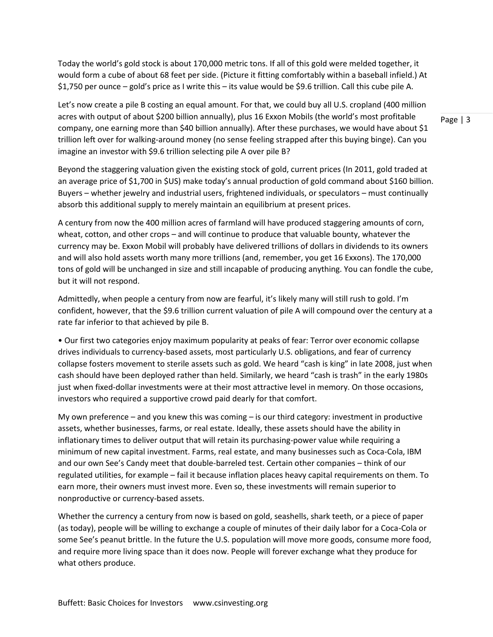Today the world's gold stock is about 170,000 metric tons. If all of this gold were melded together, it would form a cube of about 68 feet per side. (Picture it fitting comfortably within a baseball infield.) At \$1,750 per ounce – gold's price as I write this – its value would be \$9.6 trillion. Call this cube pile A.

Let's now create a pile B costing an equal amount. For that, we could buy all U.S. cropland (400 million acres with output of about \$200 billion annually), plus 16 Exxon Mobils (the world's most profitable company, one earning more than \$40 billion annually). After these purchases, we would have about \$1 trillion left over for walking-around money (no sense feeling strapped after this buying binge). Can you imagine an investor with \$9.6 trillion selecting pile A over pile B?

Beyond the staggering valuation given the existing stock of gold, current prices (In 2011, gold traded at an average price of \$1,700 in \$US) make today's annual production of gold command about \$160 billion. Buyers – whether jewelry and industrial users, frightened individuals, or speculators – must continually absorb this additional supply to merely maintain an equilibrium at present prices.

A century from now the 400 million acres of farmland will have produced staggering amounts of corn, wheat, cotton, and other crops – and will continue to produce that valuable bounty, whatever the currency may be. Exxon Mobil will probably have delivered trillions of dollars in dividends to its owners and will also hold assets worth many more trillions (and, remember, you get 16 Exxons). The 170,000 tons of gold will be unchanged in size and still incapable of producing anything. You can fondle the cube, but it will not respond.

Admittedly, when people a century from now are fearful, it's likely many will still rush to gold. I'm confident, however, that the \$9.6 trillion current valuation of pile A will compound over the century at a rate far inferior to that achieved by pile B.

• Our first two categories enjoy maximum popularity at peaks of fear: Terror over economic collapse drives individuals to currency-based assets, most particularly U.S. obligations, and fear of currency collapse fosters movement to sterile assets such as gold. We heard "cash is king" in late 2008, just when cash should have been deployed rather than held. Similarly, we heard "cash is trash" in the early 1980s just when fixed-dollar investments were at their most attractive level in memory. On those occasions, investors who required a supportive crowd paid dearly for that comfort.

My own preference – and you knew this was coming – is our third category: investment in productive assets, whether businesses, farms, or real estate. Ideally, these assets should have the ability in inflationary times to deliver output that will retain its purchasing-power value while requiring a minimum of new capital investment. Farms, real estate, and many businesses such as Coca-Cola, IBM and our own See's Candy meet that double-barreled test. Certain other companies – think of our regulated utilities, for example – fail it because inflation places heavy capital requirements on them. To earn more, their owners must invest more. Even so, these investments will remain superior to nonproductive or currency-based assets.

Whether the currency a century from now is based on gold, seashells, shark teeth, or a piece of paper (as today), people will be willing to exchange a couple of minutes of their daily labor for a Coca-Cola or some See's peanut brittle. In the future the U.S. population will move more goods, consume more food, and require more living space than it does now. People will forever exchange what they produce for what others produce.

Page | 3